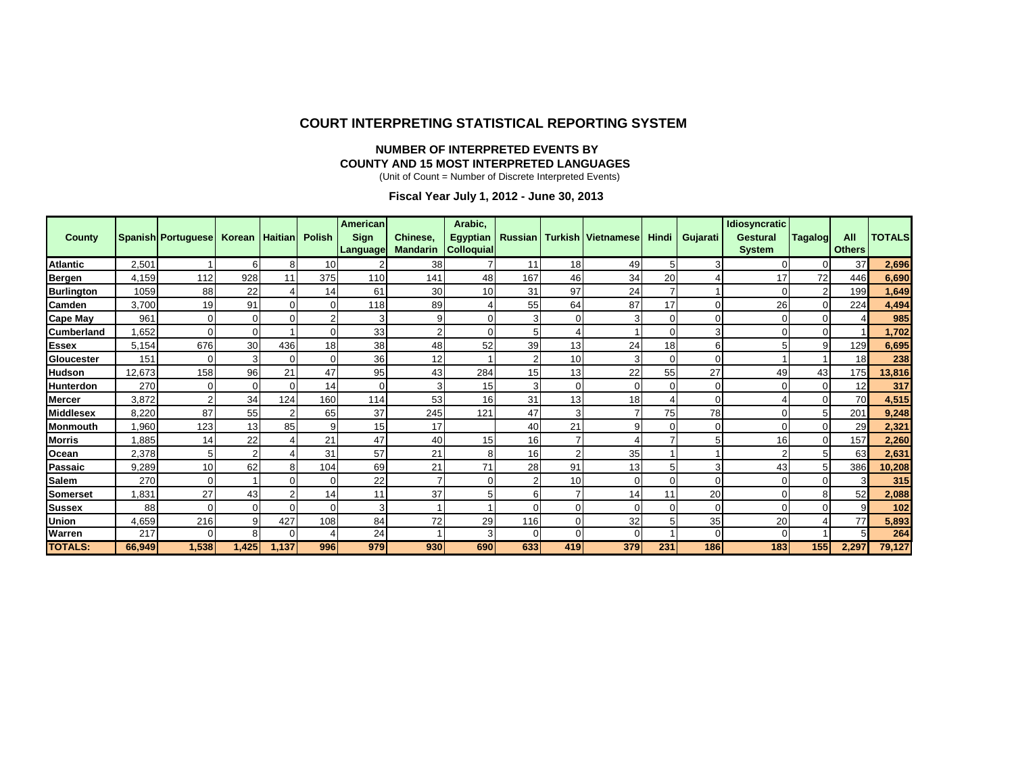#### **COURT INTERPRETING STATISTICAL REPORTING SYSTEM**

#### **NUMBER OF INTERPRETED EVENTS BY COUNTY AND 15 MOST INTERPRETED LANGUAGES**

(Unit of Count = Number of Discrete Interpreted Events)

**Fiscal Year July 1, 2012 - June 30, 2013**

|                   |        |                           |        |                |                          | American    |                 | Arabic,           |                |     |                           |          |          | <b>Idiosyncratic</b> |                |               |               |
|-------------------|--------|---------------------------|--------|----------------|--------------------------|-------------|-----------------|-------------------|----------------|-----|---------------------------|----------|----------|----------------------|----------------|---------------|---------------|
| <b>County</b>     |        | <b>Spanish Portuguese</b> | Korean | <b>Haitian</b> | <b>Polish</b>            | <b>Sign</b> | Chinese,        | Egyptian          | <b>Russian</b> |     | <b>Turkish Vietnamese</b> | Hindi    | Gujarati | Gestural             | Tagalog        | All           | <b>TOTALS</b> |
|                   |        |                           |        |                |                          | Language    | <b>Mandarin</b> | <b>Colloquial</b> |                |     |                           |          |          | <b>System</b>        |                | <b>Others</b> |               |
| <b>Atlantic</b>   | 2,501  |                           | 6      | 8              | 10                       |             | 38              |                   | 11             | 18  | 49                        | 5        |          |                      | 0              | 37            | 2,696         |
| Bergen            | 4,159  | 112                       | 928    | 11             | 375                      | 110         | 141             | 48                | 167            | 46  | 34                        | 20       |          | 17                   | 72             | 446           | 6,690         |
| <b>Burlington</b> | 1059   | 88                        | 22     |                | 14                       | 61          | 30              | 10                | 31             | 97  | 24                        |          |          |                      | $\overline{2}$ | 199           | 1,649         |
| <b>Camden</b>     | 3,700  | 19                        | 91     | $\Omega$       | $\Omega$                 | 118         | 89              |                   | 55             | 64  | 87                        | 17       |          | 26                   |                | 224           | 4,494         |
| Cape May          | 961    |                           |        | $\Omega$       |                          |             |                 |                   | 3              |     |                           |          |          |                      |                |               | 985           |
| <b>Cumberland</b> | ,652   |                           |        |                | $\Omega$                 | 33          |                 |                   | 5              |     |                           |          |          |                      |                |               | 1,702         |
| <b>Essex</b>      | 5,154  | 676                       | 30     | 436            | 18                       | 38          | 48              | 52                | 39             | 13  | 24                        | 18       |          |                      | 9              | 129           | 6,695         |
| Gloucester        | 151    |                           |        | ∩              | $\Omega$                 | 36          | 12              |                   | $\overline{c}$ | 10  |                           |          |          |                      |                | 18            | 238           |
| <b>Hudson</b>     | 12,673 | 158                       | 96     | 21             | 47                       | 95          | 43              | 284               | 15             | 13  | 22                        | 55       | 27       | 49                   | 43             | 175           | 13,816        |
| <b>Hunterdon</b>  | 270    |                           |        | $\Omega$       | 14                       |             |                 | 15                | 3              |     |                           |          |          |                      |                | 12            | 317           |
| <b>Mercer</b>     | 3,872  |                           | 34     | 124            | 160                      | 114         | 53              | 16                | 31             | 13  | 18                        |          |          |                      |                | 70            | 4,515         |
| <b>Middlesex</b>  | 8,220  | 87                        | 55     |                | 65                       | 37          | 245             | 121               | 47             |     |                           | 75       | 78       |                      |                | 201           | 9,248         |
| <b>Monmouth</b>   | ,960   | 123                       | 13     | 85             | 9                        | 15          | 17              |                   | 40             | 21  | q                         |          |          |                      | $\Omega$       | 29            | 2,321         |
| <b>Morris</b>     | ,885   | 14                        | 22     |                | 21                       | 47          | 40              | 15                | 16             |     |                           |          |          | 16                   | $\Omega$       | 157           | 2,260         |
| Ocean             | 2,378  | 5                         |        |                | 31                       | 57          | 21              | 8                 | 16             |     | 35                        |          |          |                      | 5              | 63            | 2,631         |
| Passaic           | 9,289  | 10                        | 62     | 8              | 104                      | 69          | 21              | 71                | 28             | 91  | 13                        | 5        |          | 43                   | 5              | 386           | 10,208        |
| <b>Salem</b>      | 270    |                           |        | $\Omega$       | $\Omega$                 | 22          |                 |                   | $\overline{2}$ | 10  |                           | $\Omega$ |          |                      |                |               | 315           |
| <b>Somerset</b>   | ,831   | 27                        | 43     |                | 14                       | 11          | 37              |                   | 6              |     | 14                        | 11       | 20       |                      |                | 52            | 2,088         |
| <b>Sussex</b>     | 88     |                           |        | $\Omega$       | $\Omega$                 |             |                 |                   | $\Omega$       |     |                           | 0        |          |                      |                | 9             | 102           |
| <b>Union</b>      | 4,659  | 216                       |        | 427            | 108                      | 84          | 72              | 29                | 116            |     | 32                        | 5        | 35       | 20                   |                | 77            | 5,893         |
| Warren            | 217    | ∩                         |        | $\Omega$       | $\overline{\mathcal{L}}$ | 24          |                 | 3                 | $\mathbf 0$    |     | ∩                         |          |          |                      |                | 5             | 264           |
| <b>TOTALS:</b>    | 66,949 | 1,538                     | 1,425  | 1,137          | 996                      | 979         | 930             | 690               | 633            | 419 | 379                       | 231      | 186      | 183                  | 155            | 2,297         | 79,127        |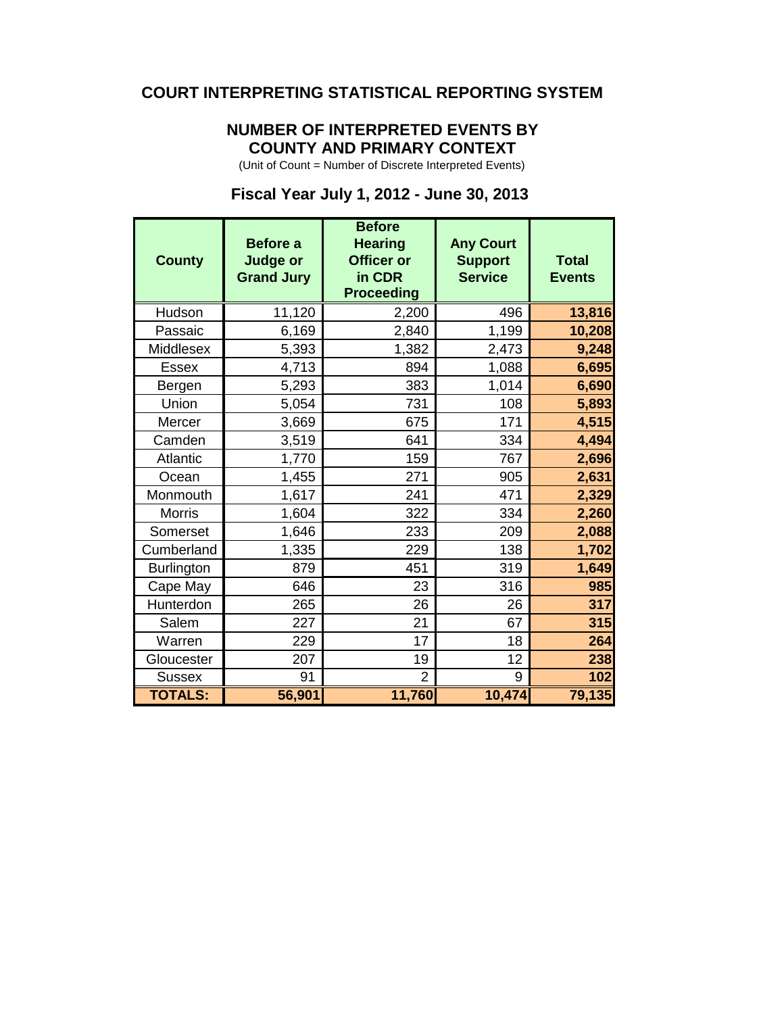# **COURT INTERPRETING STATISTICAL REPORTING SYSTEM**

## **NUMBER OF INTERPRETED EVENTS BY COUNTY AND PRIMARY CONTEXT**

(Unit of Count = Number of Discrete Interpreted Events)

## **Fiscal Year July 1, 2012 - June 30, 2013**

| <b>County</b>     | <b>Before a</b><br><b>Judge or</b><br><b>Grand Jury</b> | <b>Before</b><br><b>Hearing</b><br><b>Officer or</b><br>in CDR<br><b>Proceeding</b> | <b>Any Court</b><br><b>Support</b><br><b>Service</b> | <b>Total</b><br><b>Events</b> |
|-------------------|---------------------------------------------------------|-------------------------------------------------------------------------------------|------------------------------------------------------|-------------------------------|
| Hudson            | 11,120                                                  | 2,200                                                                               | 496                                                  | 13,816                        |
| Passaic           | 6,169                                                   | 2,840                                                                               | 1,199                                                | 10,208                        |
| <b>Middlesex</b>  | 5,393                                                   | 1,382                                                                               | 2,473                                                | 9,248                         |
| <b>Essex</b>      | 4,713                                                   | 894                                                                                 | 1,088                                                | 6,695                         |
| Bergen            | 5,293                                                   | 383                                                                                 | 1,014                                                | 6,690                         |
| Union             | 5,054                                                   | 731                                                                                 | 108                                                  | 5,893                         |
| Mercer            | 3,669                                                   | 675                                                                                 | 171                                                  | 4,515                         |
| Camden            | 3,519                                                   | 641                                                                                 | 334                                                  | 4,494                         |
| <b>Atlantic</b>   | 1,770                                                   | 159                                                                                 | 767                                                  | 2,696                         |
| Ocean             | 1,455                                                   | 271                                                                                 | 905                                                  | 2,631                         |
| Monmouth          | 1,617                                                   | 241                                                                                 | 471                                                  | 2,329                         |
| <b>Morris</b>     | 1,604                                                   | 322                                                                                 | 334                                                  | 2,260                         |
| Somerset          | 1,646                                                   | 233                                                                                 | 209                                                  | 2,088                         |
| Cumberland        | 1,335                                                   | 229                                                                                 | 138                                                  | 1,702                         |
| <b>Burlington</b> | 879                                                     | 451                                                                                 | 319                                                  | 1,649                         |
| Cape May          | 646                                                     | 23                                                                                  | 316                                                  | 985                           |
| Hunterdon         | 265                                                     | 26                                                                                  | 26                                                   | 317                           |
| Salem             | 227                                                     | 21                                                                                  | 67                                                   | 315                           |
| Warren            | 229                                                     | 17                                                                                  | 18                                                   | 264                           |
| Gloucester        | 207                                                     | 19                                                                                  | 12                                                   | 238                           |
| <b>Sussex</b>     | 91                                                      | $\overline{2}$                                                                      | 9                                                    | 102                           |
| <b>TOTALS:</b>    | 56,901                                                  | 11,760                                                                              | 10,474                                               | 79,135                        |